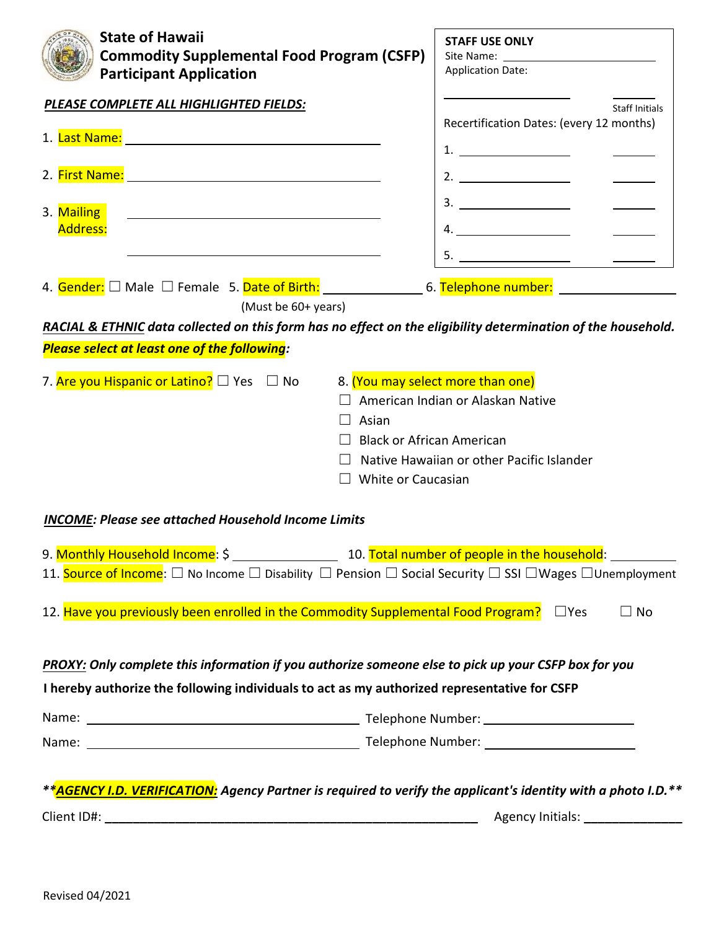| <b>State of Hawaii</b><br><b>Commodity Supplemental Food Program (CSFP)</b><br><b>Participant Application</b>                                                                                                                                                                                                                                                                                                                                                                                                                                          | <b>STAFF USE ONLY</b><br><b>Application Date:</b> |  |  |
|--------------------------------------------------------------------------------------------------------------------------------------------------------------------------------------------------------------------------------------------------------------------------------------------------------------------------------------------------------------------------------------------------------------------------------------------------------------------------------------------------------------------------------------------------------|---------------------------------------------------|--|--|
| PLEASE COMPLETE ALL HIGHLIGHTED FIELDS:                                                                                                                                                                                                                                                                                                                                                                                                                                                                                                                | <b>Staff Initials</b>                             |  |  |
|                                                                                                                                                                                                                                                                                                                                                                                                                                                                                                                                                        | Recertification Dates: (every 12 months)          |  |  |
|                                                                                                                                                                                                                                                                                                                                                                                                                                                                                                                                                        | 1. $\qquad \qquad$                                |  |  |
|                                                                                                                                                                                                                                                                                                                                                                                                                                                                                                                                                        | 2. $\qquad \qquad$                                |  |  |
| 3. Mailing<br><u> 1989 - John Barnett, fransk politiker (d. 1989)</u>                                                                                                                                                                                                                                                                                                                                                                                                                                                                                  |                                                   |  |  |
| Address:                                                                                                                                                                                                                                                                                                                                                                                                                                                                                                                                               |                                                   |  |  |
|                                                                                                                                                                                                                                                                                                                                                                                                                                                                                                                                                        |                                                   |  |  |
| 4. Gender: $\Box$ Male $\Box$ Female 5. Date of Birth: ___________________6. Telephone number: ___________________                                                                                                                                                                                                                                                                                                                                                                                                                                     |                                                   |  |  |
| (Must be 60+ years)                                                                                                                                                                                                                                                                                                                                                                                                                                                                                                                                    |                                                   |  |  |
| RACIAL & ETHNIC data collected on this form has no effect on the eligibility determination of the household.                                                                                                                                                                                                                                                                                                                                                                                                                                           |                                                   |  |  |
| <b>Please select at least one of the following:</b>                                                                                                                                                                                                                                                                                                                                                                                                                                                                                                    |                                                   |  |  |
| 7. <mark>Are you Hispanic or Latino?</mark> □ Yes  □ No<br>8. (You may select more than one)<br>American Indian or Alaskan Native<br>Asian<br><b>Black or African American</b><br>Native Hawaiian or other Pacific Islander<br>White or Caucasian<br><b>INCOME: Please see attached Household Income Limits</b><br>11. Source of Income: $\Box$ No Income $\Box$ Disability $\Box$ Pension $\Box$ Social Security $\Box$ SSI $\Box$ Wages $\Box$ Unemployment<br>12. Have you previously been enrolled in the Commodity Supplemental Food Program?<br> |                                                   |  |  |
|                                                                                                                                                                                                                                                                                                                                                                                                                                                                                                                                                        | $\Box$ No                                         |  |  |
| PROXY: Only complete this information if you authorize someone else to pick up your CSFP box for you                                                                                                                                                                                                                                                                                                                                                                                                                                                   |                                                   |  |  |
| I hereby authorize the following individuals to act as my authorized representative for CSFP                                                                                                                                                                                                                                                                                                                                                                                                                                                           |                                                   |  |  |
|                                                                                                                                                                                                                                                                                                                                                                                                                                                                                                                                                        |                                                   |  |  |
|                                                                                                                                                                                                                                                                                                                                                                                                                                                                                                                                                        |                                                   |  |  |
| ** <mark>AGENCY I.D. VERIFICATION:</mark> Agency Partner is required to verify the applicant's identity with a photo I.D.**                                                                                                                                                                                                                                                                                                                                                                                                                            |                                                   |  |  |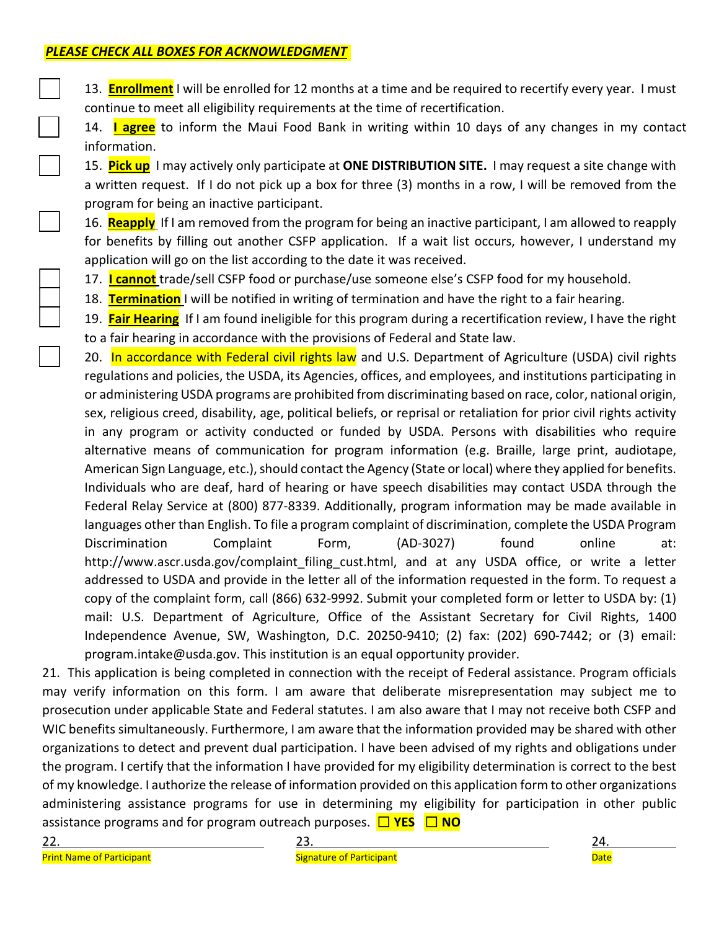13. **Enrollment** I will be enrolled for 12 months at a time and be required to recertify every year. I must continue to meet all eligibility requirements at the time of recertification.

☐ 14. **I agree** to inform the Maui Food Bank in writing within 10 days of any changes in my contact information.

☐ 15. **Pick up** I may actively only participate at **ONE DISTRIBUTION SITE.** I may request a site change with a written request. If I do not pick up a box for three (3) months in a row, I will be removed from the program for being an inactive participant.

☐ 16. **Reapply** If I am removed from the program for being an inactive participant, I am allowed to reapply for benefits by filling out another CSFP application. If a wait list occurs, however, I understand my application will go on the list according to the date it was received.

☐ 17. **I cannot** trade/sell CSFP food or purchase/use someone else's CSFP food for my household.

☐ 18. **Termination** I will be notified in writing of termination and have the right to a fair hearing.

19. **Fair Hearing** If I am found ineligible for this program during a recertification review, I have the right to a fair hearing in accordance with the provisions of Federal and State law.

20. In accordance with Federal civil rights law and U.S. Department of Agriculture (USDA) civil rights regulations and policies, the USDA, its Agencies, offices, and employees, and institutions participating in or administering USDA programs are prohibited from discriminating based on race, color, national origin, sex, religious creed, disability, age, political beliefs, or reprisal or retaliation for prior civil rights activity in any program or activity conducted or funded by USDA. Persons with disabilities who require alternative means of communication for program information (e.g. Braille, large print, audiotape, American Sign Language, etc.), should contact the Agency (State or local) where they applied for benefits. Individuals who are deaf, hard of hearing or have speech disabilities may contact USDA through the Federal Relay Service at (800) 877-8339. Additionally, program information may be made available in languages other than English. To file a program complaint of discrimination, complete the USDA Program Discrimination Complaint Form, (AD-3027) found online at: http://www.ascr.usda.gov/complaint filing cust.html, and at any USDA office, or write a letter addressed to USDA and provide in the letter all of the information requested in the form. To request a copy of the complaint form, call (866) 632-9992. Submit your completed form or letter to USDA by: (1) mail: U.S. Department of Agriculture, Office of the Assistant Secretary for Civil Rights, 1400 Independence Avenue, SW, Washington, D.C. 20250-9410; (2) fax: (202) 690-7442; or (3) email: program.intake@usda.gov. This institution is an equal opportunity provider.

21. This application is being completed in connection with the receipt of Federal assistance. Program officials may verify information on this form. I am aware that deliberate misrepresentation may subject me to prosecution under applicable State and Federal statutes. I am also aware that I may not receive both CSFP and WIC benefits simultaneously. Furthermore, I am aware that the information provided may be shared with other organizations to detect and prevent dual participation. I have been advised of my rights and obligations under the program. I certify that the information I have provided for my eligibility determination is correct to the best of my knowledge. I authorize the release of information provided on this application form to other organizations administering assistance programs for use in determining my eligibility for participation in other public assistance programs and for program outreach purposes. ☐ **YES** ☐ **NO**